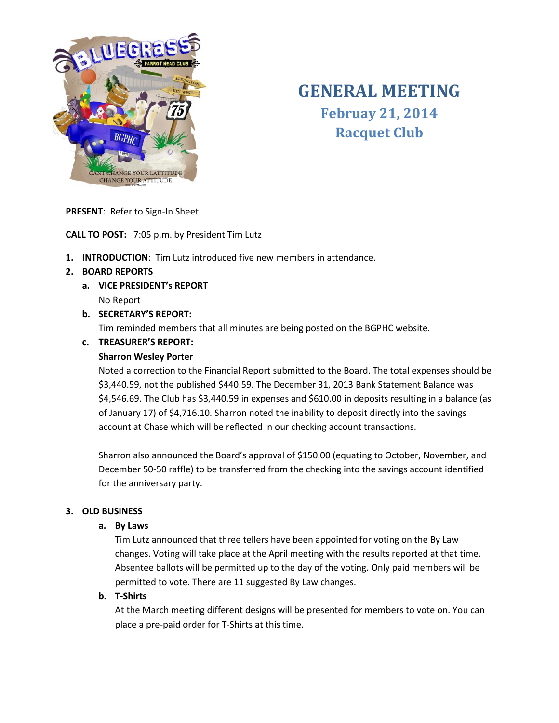

# **GENERAL MEETING Februay 21, 2014 Racquet Club**

**PRESENT**: Refer to Sign-In Sheet

**CALL TO POST:** 7:05 p.m. by President Tim Lutz

**1. INTRODUCTION**: Tim Lutz introduced five new members in attendance.

# **2. BOARD REPORTS**

- **a. VICE PRESIDENT's REPORT** No Report
- **b. SECRETARY'S REPORT:**

Tim reminded members that all minutes are being posted on the BGPHC website.

# **c. TREASURER'S REPORT:**

## **Sharron Wesley Porter**

Noted a correction to the Financial Report submitted to the Board. The total expenses should be \$3,440.59, not the published \$440.59. The December 31, 2013 Bank Statement Balance was \$4,546.69. The Club has \$3,440.59 in expenses and \$610.00 in deposits resulting in a balance (as of January 17) of \$4,716.10. Sharron noted the inability to deposit directly into the savings account at Chase which will be reflected in our checking account transactions.

Sharron also announced the Board's approval of \$150.00 (equating to October, November, and December 50-50 raffle) to be transferred from the checking into the savings account identified for the anniversary party.

# **3. OLD BUSINESS**

## **a. By Laws**

Tim Lutz announced that three tellers have been appointed for voting on the By Law changes. Voting will take place at the April meeting with the results reported at that time. Absentee ballots will be permitted up to the day of the voting. Only paid members will be permitted to vote. There are 11 suggested By Law changes.

## **b. T-Shirts**

At the March meeting different designs will be presented for members to vote on. You can place a pre-paid order for T-Shirts at this time.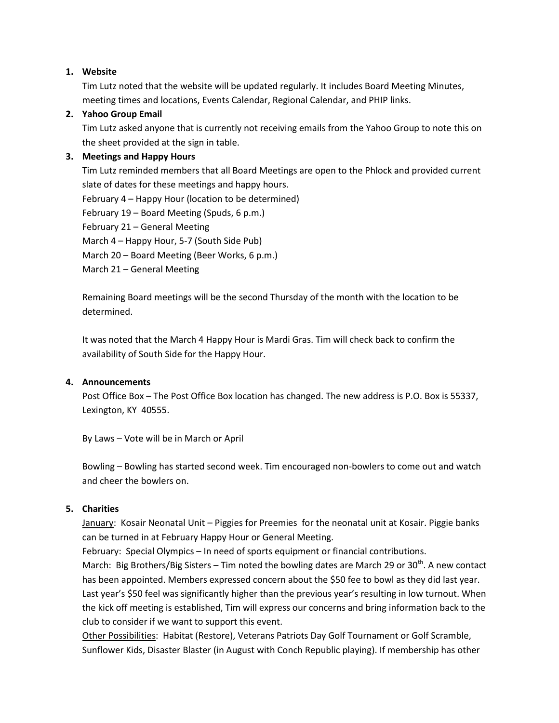## **1. Website**

Tim Lutz noted that the website will be updated regularly. It includes Board Meeting Minutes, meeting times and locations, Events Calendar, Regional Calendar, and PHIP links.

## **2. Yahoo Group Email**

Tim Lutz asked anyone that is currently not receiving emails from the Yahoo Group to note this on the sheet provided at the sign in table.

## **3. Meetings and Happy Hours**

Tim Lutz reminded members that all Board Meetings are open to the Phlock and provided current slate of dates for these meetings and happy hours.

February 4 – Happy Hour (location to be determined)

February 19 – Board Meeting (Spuds, 6 p.m.)

February 21 – General Meeting

March 4 – Happy Hour, 5-7 (South Side Pub)

March 20 – Board Meeting (Beer Works, 6 p.m.)

March 21 – General Meeting

Remaining Board meetings will be the second Thursday of the month with the location to be determined.

It was noted that the March 4 Happy Hour is Mardi Gras. Tim will check back to confirm the availability of South Side for the Happy Hour.

## **4. Announcements**

Post Office Box – The Post Office Box location has changed. The new address is P.O. Box is 55337, Lexington, KY 40555.

By Laws – Vote will be in March or April

Bowling – Bowling has started second week. Tim encouraged non-bowlers to come out and watch and cheer the bowlers on.

## **5. Charities**

January: Kosair Neonatal Unit – Piggies for Preemies for the neonatal unit at Kosair. Piggie banks can be turned in at February Happy Hour or General Meeting.

February: Special Olympics – In need of sports equipment or financial contributions.

March: Big Brothers/Big Sisters – Tim noted the bowling dates are March 29 or 30<sup>th</sup>. A new contact has been appointed. Members expressed concern about the \$50 fee to bowl as they did last year. Last year's \$50 feel was significantly higher than the previous year's resulting in low turnout. When the kick off meeting is established, Tim will express our concerns and bring information back to the club to consider if we want to support this event.

Other Possibilities: Habitat (Restore), Veterans Patriots Day Golf Tournament or Golf Scramble, Sunflower Kids, Disaster Blaster (in August with Conch Republic playing). If membership has other